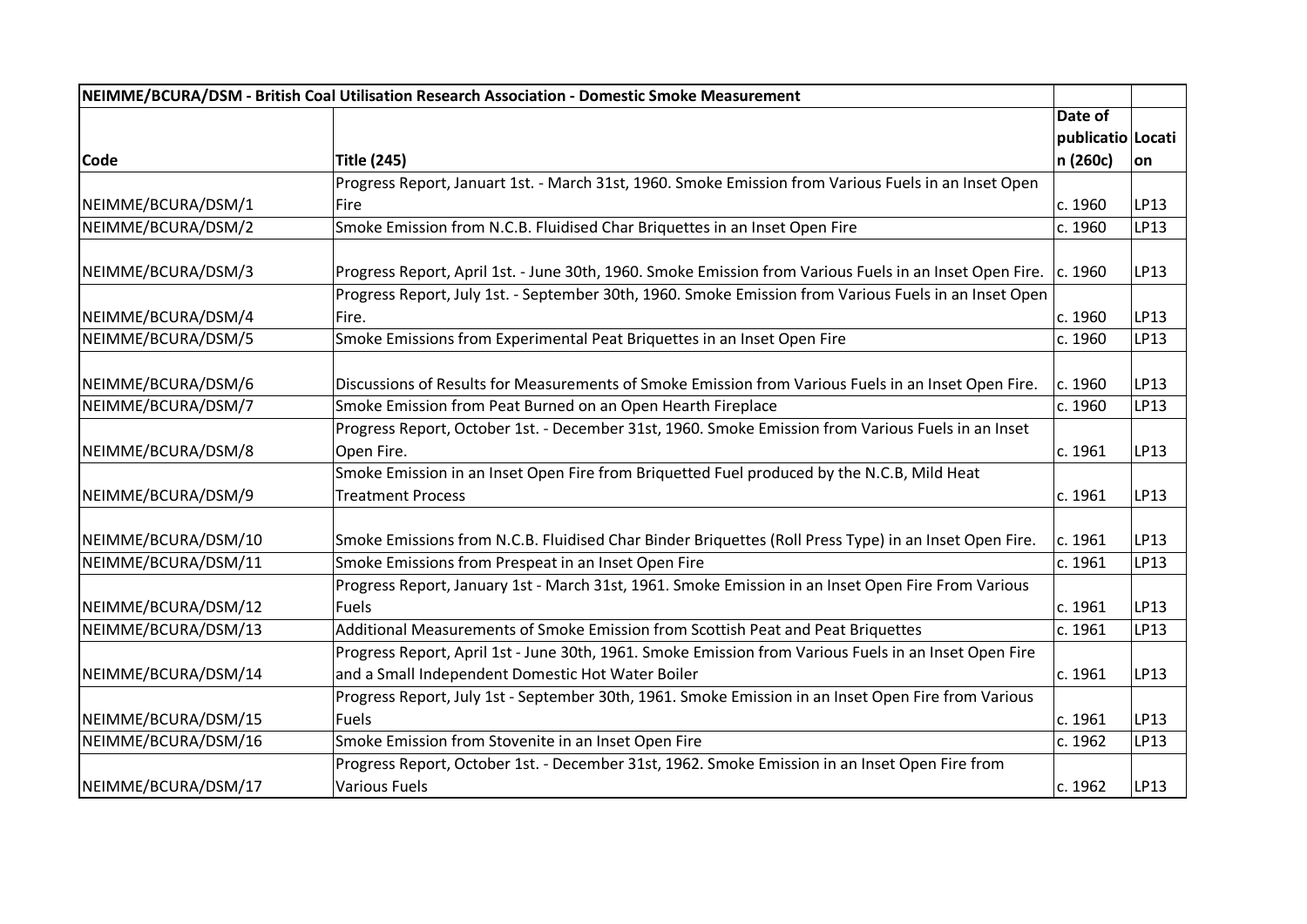| NEIMME/BCURA/DSM - British Coal Utilisation Research Association - Domestic Smoke Measurement |                                                                                                             |                   |      |
|-----------------------------------------------------------------------------------------------|-------------------------------------------------------------------------------------------------------------|-------------------|------|
|                                                                                               |                                                                                                             | Date of           |      |
|                                                                                               |                                                                                                             | publicatio Locati |      |
| <b>Code</b>                                                                                   | <b>Title (245)</b>                                                                                          | n (260c)          | ∣on  |
|                                                                                               | Progress Report, Januart 1st. - March 31st, 1960. Smoke Emission from Various Fuels in an Inset Open        |                   |      |
| NEIMME/BCURA/DSM/1                                                                            | Fire                                                                                                        | c. 1960           | LP13 |
| NEIMME/BCURA/DSM/2                                                                            | Smoke Emission from N.C.B. Fluidised Char Briquettes in an Inset Open Fire                                  | c. 1960           | LP13 |
| NEIMME/BCURA/DSM/3                                                                            | Progress Report, April 1st. - June 30th, 1960. Smoke Emission from Various Fuels in an Inset Open Fire.     | c. 1960           | LP13 |
|                                                                                               | Progress Report, July 1st. - September 30th, 1960. Smoke Emission from Various Fuels in an Inset Open       |                   |      |
| NEIMME/BCURA/DSM/4                                                                            | Fire.                                                                                                       | c. 1960           | LP13 |
| NEIMME/BCURA/DSM/5                                                                            | Smoke Emissions from Experimental Peat Briquettes in an Inset Open Fire                                     | c. 1960           | LP13 |
| NEIMME/BCURA/DSM/6                                                                            | Discussions of Results for Measurements of Smoke Emission from Various Fuels in an Inset Open Fire.         | c. 1960           | LP13 |
| NEIMME/BCURA/DSM/7                                                                            | Smoke Emission from Peat Burned on an Open Hearth Fireplace                                                 | c. 1960           | LP13 |
|                                                                                               | Progress Report, October 1st. - December 31st, 1960. Smoke Emission from Various Fuels in an Inset          |                   |      |
| NEIMME/BCURA/DSM/8                                                                            | Open Fire.                                                                                                  | c. 1961           | LP13 |
|                                                                                               | Smoke Emission in an Inset Open Fire from Briquetted Fuel produced by the N.C.B, Mild Heat                  |                   |      |
| NEIMME/BCURA/DSM/9                                                                            | <b>Treatment Process</b>                                                                                    | c. 1961           | LP13 |
| NEIMME/BCURA/DSM/10                                                                           | Smoke Emissions from N.C.B. Fluidised Char Binder Briquettes (Roll Press Type) in an Inset Open Fire.       | c. 1961           | LP13 |
| NEIMME/BCURA/DSM/11                                                                           | Smoke Emissions from Prespeat in an Inset Open Fire                                                         | c. 1961           | LP13 |
| NEIMME/BCURA/DSM/12                                                                           | Progress Report, January 1st - March 31st, 1961. Smoke Emission in an Inset Open Fire From Various<br>Fuels | c. 1961           | LP13 |
| NEIMME/BCURA/DSM/13                                                                           | Additional Measurements of Smoke Emission from Scottish Peat and Peat Briquettes                            | c. 1961           | LP13 |
|                                                                                               | Progress Report, April 1st - June 30th, 1961. Smoke Emission from Various Fuels in an Inset Open Fire       |                   |      |
| NEIMME/BCURA/DSM/14                                                                           | and a Small Independent Domestic Hot Water Boiler                                                           | c. 1961           | LP13 |
|                                                                                               | Progress Report, July 1st - September 30th, 1961. Smoke Emission in an Inset Open Fire from Various         |                   |      |
| NEIMME/BCURA/DSM/15                                                                           | Fuels                                                                                                       | c. 1961           | LP13 |
| NEIMME/BCURA/DSM/16                                                                           | Smoke Emission from Stovenite in an Inset Open Fire                                                         | c. 1962           | LP13 |
|                                                                                               | Progress Report, October 1st. - December 31st, 1962. Smoke Emission in an Inset Open Fire from              |                   |      |
| NEIMME/BCURA/DSM/17                                                                           | Various Fuels                                                                                               | c. 1962           | LP13 |